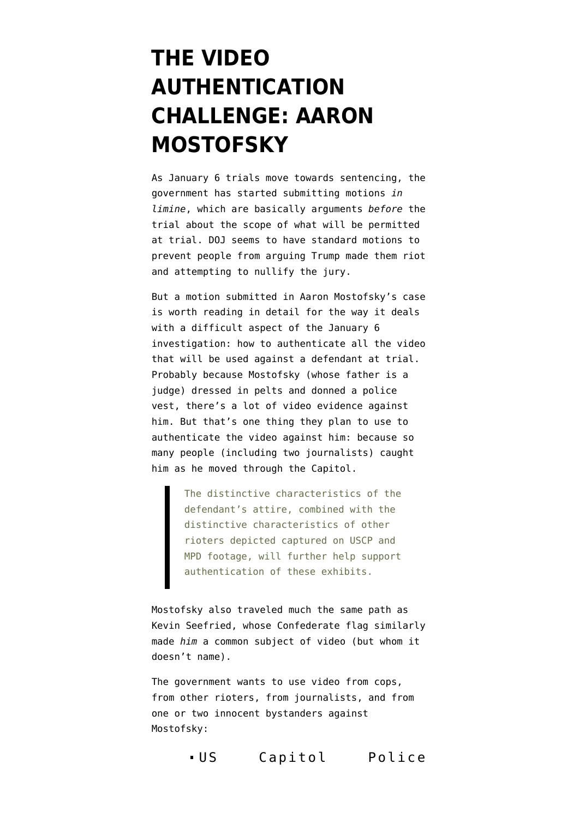## **[THE VIDEO](https://www.emptywheel.net/2021/12/14/the-video-authentication-challenge-aaron-mostofsky/) [AUTHENTICATION](https://www.emptywheel.net/2021/12/14/the-video-authentication-challenge-aaron-mostofsky/) [CHALLENGE: AARON](https://www.emptywheel.net/2021/12/14/the-video-authentication-challenge-aaron-mostofsky/) [MOSTOFSKY](https://www.emptywheel.net/2021/12/14/the-video-authentication-challenge-aaron-mostofsky/)**

As January 6 trials move towards sentencing, the government has started submitting motions *in limine*, which are basically arguments *before* the trial about the scope of what will be permitted at trial. DOJ seems to have standard motions to prevent people from arguing Trump made them riot and attempting to nullify the jury.

But a [motion](https://storage.courtlistener.com/recap/gov.uscourts.dcd.227771/gov.uscourts.dcd.227771.84.0.pdf) submitted in [Aaron Mostofsky's case](https://www.justice.gov/usao-dc/press-release/file/1353206/download) is worth reading in detail for the way it deals with a difficult aspect of the January 6 investigation: how to authenticate all the video that will be used against a defendant at trial. Probably because Mostofsky (whose father is a judge) dressed in pelts and donned a police vest, there's a lot of video evidence against him. But that's one thing they plan to use to authenticate the video against him: because so many people (including two journalists) caught him as he moved through the Capitol.

> The distinctive characteristics of the defendant's attire, combined with the distinctive characteristics of other rioters depicted captured on USCP and MPD footage, will further help support authentication of these exhibits.

Mostofsky also traveled much the same path [as](https://www.justice.gov/usao-dc/press-release/file/1354306/download) [Kevin Seefried](https://www.justice.gov/usao-dc/press-release/file/1354306/download), whose Confederate flag similarly made *him* a common subject of video (but whom it doesn't name).

The government wants to use video from cops, from other rioters, from journalists, and from one or two innocent bystanders against Mostofsky:

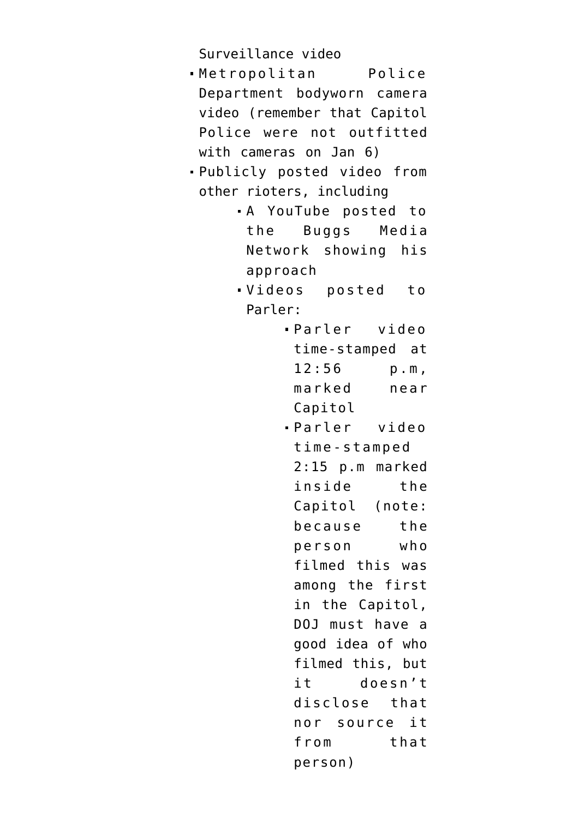Surveillance video

- Metropolitan Police Department bodyworn camera video (remember that Capitol Police were not outfitted with cameras on Jan 6)
- Publicly posted video from other rioters, including
	- A YouTube posted to the Buggs Media Network showing his approach
	- Videos posted to Parler:
		- Parler video time-stamped at 12:56 p.m, marked near Capitol
		- Parler video time-stamped 2:15 p.m marked inside the Capitol (note: because the person who filmed this was among the first in the Capitol, DOJ must have a good idea of who filmed this, but it doesn't disclose that nor source it from that person)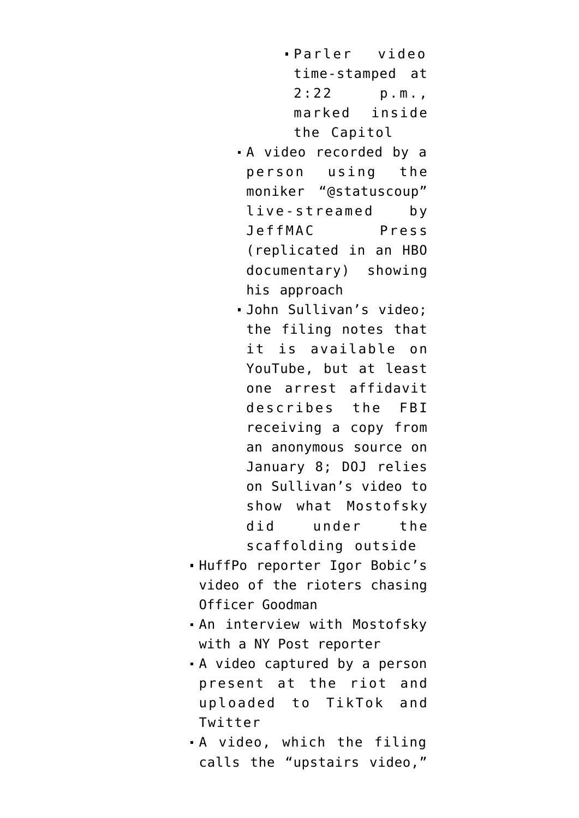- Parler video time-stamped at 2:22 p.m., marked inside the Capitol
- A video recorded by a person using the moniker "@statuscoup" live-streamed by JeffMAC Press (replicated in an HBO documentary) showing his approach
- John Sullivan's video; the filing notes that it is available on YouTube, but at least one arrest affidavit describes the FBI receiving a copy from an anonymous source on January 8; DOJ relies on Sullivan's video to show what Mostofsky did under the scaffolding outside
- HuffPo reporter Igor Bobic's video of the rioters chasing Officer Goodman
- An interview with Mostofsky with a NY Post reporter
- A [video](https://twitter.com/chevlove68/status/1353553762321895424) captured by a person present at the riot and uploaded to TikTok and Twitter
- A video, which the filing calls the "upstairs video,"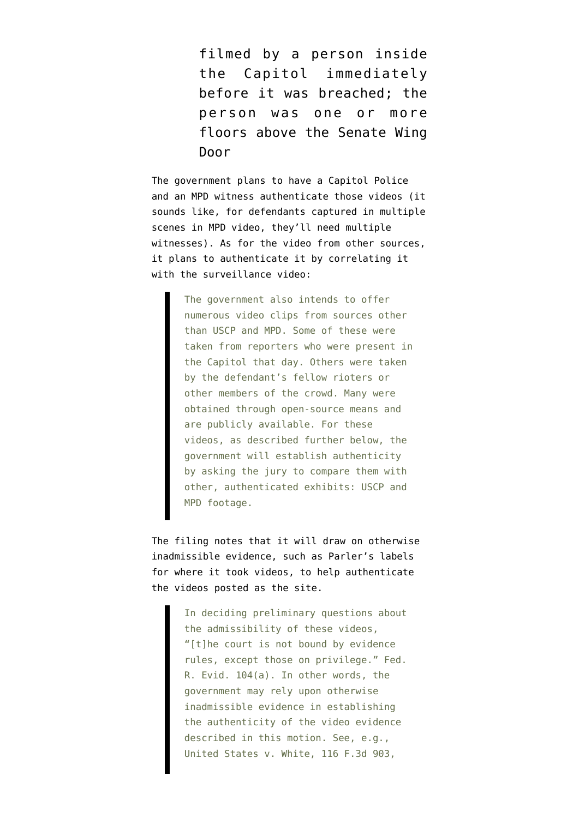filmed by a person inside the Capitol immediately before it was breached; the person was one or more floors above the Senate Wing Door

The government plans to have a Capitol Police and an MPD witness authenticate those videos (it sounds like, for defendants captured in multiple scenes in MPD video, they'll need multiple witnesses). As for the video from other sources, it plans to authenticate it by correlating it with the surveillance video:

> The government also intends to offer numerous video clips from sources other than USCP and MPD. Some of these were taken from reporters who were present in the Capitol that day. Others were taken by the defendant's fellow rioters or other members of the crowd. Many were obtained through open-source means and are publicly available. For these videos, as described further below, the government will establish authenticity by asking the jury to compare them with other, authenticated exhibits: USCP and MPD footage.

The filing notes that it will draw on otherwise inadmissible evidence, such as Parler's labels for where it took videos, to help authenticate the videos posted as the site.

> In deciding preliminary questions about the admissibility of these videos, "[t]he court is not bound by evidence rules, except those on privilege." Fed. R. Evid. 104(a). In other words, the government may rely upon otherwise inadmissible evidence in establishing the authenticity of the video evidence described in this motion. See, e.g., United States v. White, 116 F.3d 903,